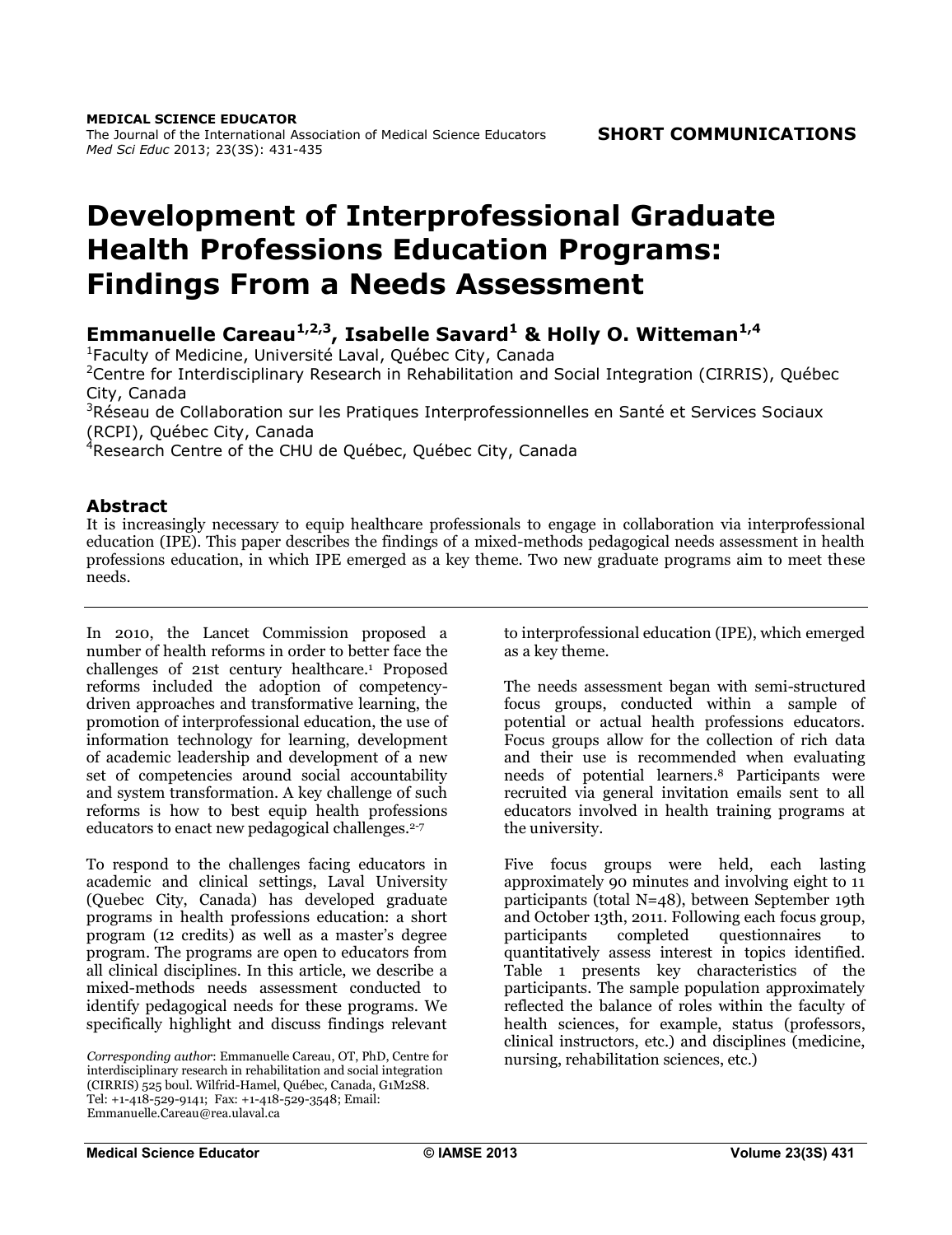The Journal of the International Association of Medical Science Educators *Med Sci Educ* 2013; 23(3S): 431-435

# **Development of Interprofessional Graduate Health Professions Education Programs: Findings From a Needs Assessment**

# Emmanuelle Careau<sup>1,2,3</sup>, Isabelle Savard<sup>1</sup> & Holly O. Witteman<sup>1,4</sup>

<sup>1</sup>Faculty of Medicine, Université Laval, Québec City, Canada

<sup>2</sup>Centre for Interdisciplinary Research in Rehabilitation and Social Integration (CIRRIS), Québec City, Canada

<sup>3</sup>Réseau de Collaboration sur les Pratiques Interprofessionnelles en Santé et Services Sociaux (RCPI), Québec City, Canada

<sup>4</sup>Research Centre of the CHU de Québec, Québec City, Canada

# **Abstract**

It is increasingly necessary to equip healthcare professionals to engage in collaboration via interprofessional education (IPE). This paper describes the findings of a mixed-methods pedagogical needs assessment in health professions education, in which IPE emerged as a key theme. Two new graduate programs aim to meet these needs.

In 2010, the Lancet Commission proposed a number of health reforms in order to better face the challenges of 21st century healthcare.1 Proposed reforms included the adoption of competencydriven approaches and transformative learning, the promotion of interprofessional education, the use of information technology for learning, development of academic leadership and development of a new set of competencies around social accountability and system transformation. A key challenge of such reforms is how to best equip health professions educators to enact new pedagogical challenges.<sup>2-7</sup>

To respond to the challenges facing educators in academic and clinical settings, Laval University (Quebec City, Canada) has developed graduate programs in health professions education: a short program (12 credits) as well as a master's degree program. The programs are open to educators from all clinical disciplines. In this article, we describe a mixed-methods needs assessment conducted to identify pedagogical needs for these programs. We specifically highlight and discuss findings relevant to interprofessional education (IPE), which emerged as a key theme.

The needs assessment began with semi-structured focus groups, conducted within a sample of potential or actual health professions educators. Focus groups allow for the collection of rich data and their use is recommended when evaluating needs of potential learners.8 Participants were recruited via general invitation emails sent to all educators involved in health training programs at the university.

Five focus groups were held, each lasting approximately 90 minutes and involving eight to 11 participants (total N=48), between September 19th and October 13th, 2011. Following each focus group, participants completed questionnaires to quantitatively assess interest in topics identified. Table 1 presents key characteristics of the participants. The sample population approximately reflected the balance of roles within the faculty of health sciences, for example, status (professors, clinical instructors, etc.) and disciplines (medicine,

*Corresponding author:* Emmanuelle Careau, OT, PhD, Centre for **hursing**, rehabilitation sciences, etc.) interdisciplinary research in rehabilitation and social integration (CIRRIS) 525 boul. Wilfrid-Hamel, Québec, Canada, G1M2S8. Tel: +1-418-529-9141; Fax: +1-418-529-3548; Email: Emmanuelle.Careau@rea.ulaval.ca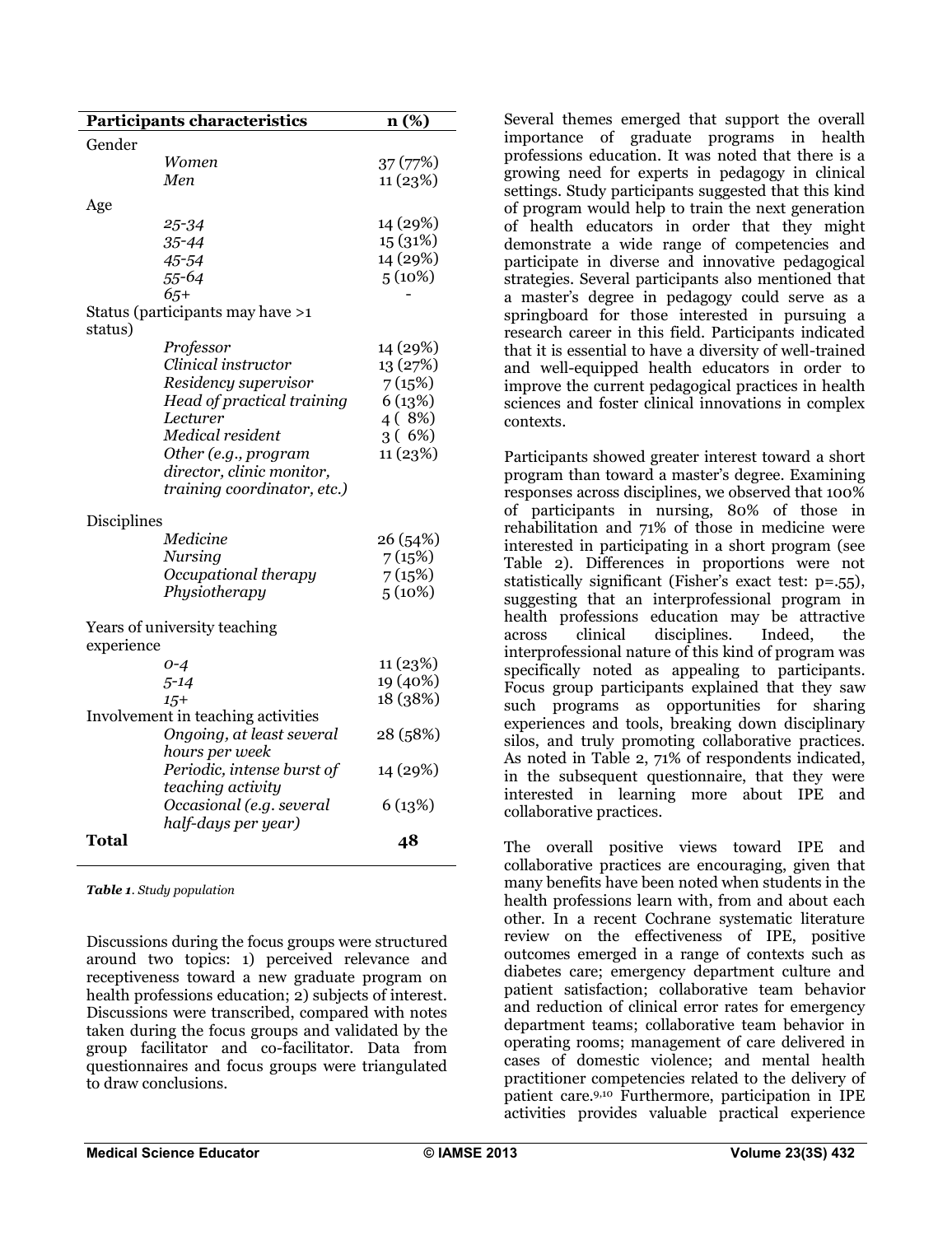| Participants characteristics       | n (%)                                                    |          |  |  |  |
|------------------------------------|----------------------------------------------------------|----------|--|--|--|
| Gender                             |                                                          |          |  |  |  |
|                                    | Women                                                    | 37 (77%) |  |  |  |
|                                    | Men                                                      | 11(23%)  |  |  |  |
| Age                                |                                                          |          |  |  |  |
|                                    | 25-34                                                    | 14 (29%) |  |  |  |
|                                    | $35 - 44$                                                | 15 (31%) |  |  |  |
|                                    | $45 - 54$                                                | 14 (29%) |  |  |  |
|                                    | 55-64                                                    | 5(10%)   |  |  |  |
|                                    | $65+$                                                    |          |  |  |  |
| status)                            | Status (participants may have >1                         |          |  |  |  |
|                                    | Professor                                                | 14 (29%) |  |  |  |
|                                    | Clinical instructor                                      | 13 (27%) |  |  |  |
|                                    | Residency supervisor                                     | 7(15%)   |  |  |  |
|                                    | Head of practical training                               | 6(13%)   |  |  |  |
|                                    | Lecturer                                                 | 4 (8%)   |  |  |  |
|                                    | Medical resident                                         | 3(6%)    |  |  |  |
|                                    | Other (e.g., program                                     | 11 (23%) |  |  |  |
|                                    | director, clinic monitor,<br>training coordinator, etc.) |          |  |  |  |
|                                    |                                                          |          |  |  |  |
| Disciplines                        |                                                          |          |  |  |  |
|                                    | Medicine                                                 | 26 (54%) |  |  |  |
|                                    | Nursing                                                  | 7(15%)   |  |  |  |
|                                    | Occupational therapy                                     | 7(15%)   |  |  |  |
|                                    | Physiotherapy                                            | 5(10%)   |  |  |  |
| Years of university teaching       |                                                          |          |  |  |  |
| experience                         |                                                          |          |  |  |  |
|                                    | $0 - 4$                                                  | 11 (23%) |  |  |  |
|                                    | $5 - 14$                                                 | 19 (40%) |  |  |  |
|                                    | $1,5+$                                                   | 18 (38%) |  |  |  |
| Involvement in teaching activities |                                                          |          |  |  |  |
|                                    | Ongoing, at least several<br>hours per week              | 28 (58%) |  |  |  |
|                                    | Periodic, intense burst of                               | 14 (29%) |  |  |  |
|                                    | teaching activity<br>Occasional (e.g. several            | 6(13%)   |  |  |  |
|                                    | half-days per year)                                      |          |  |  |  |
| Total                              |                                                          | 48       |  |  |  |

*Table 1. Study population* 

Discussions during the focus groups were structured around two topics: 1) perceived relevance and receptiveness toward a new graduate program on health professions education; 2) subjects of interest. Discussions were transcribed, compared with notes taken during the focus groups and validated by the group facilitator and co-facilitator. Data from questionnaires and focus groups were triangulated to draw conclusions.

Several themes emerged that support the overall importance of graduate programs in health professions education. It was noted that there is a growing need for experts in pedagogy in clinical settings. Study participants suggested that this kind of program would help to train the next generation of health educators in order that they might demonstrate a wide range of competencies and participate in diverse and innovative pedagogical strategies. Several participants also mentioned that a master's degree in pedagogy could serve as a springboard for those interested in pursuing a research career in this field. Participants indicated that it is essential to have a diversity of well-trained and well-equipped health educators in order to improve the current pedagogical practices in health sciences and foster clinical innovations in complex contexts.

Participants showed greater interest toward a short program than toward a master's degree. Examining responses across disciplines, we observed that 100% of participants in nursing, 80% of those in rehabilitation and 71% of those in medicine were interested in participating in a short program (see Table 2). Differences in proportions were not statistically significant (Fisher's exact test: p=.55), suggesting that an interprofessional program in health professions education may be attractive across clinical disciplines. Indeed, the interprofessional nature of this kind of program was specifically noted as appealing to participants. Focus group participants explained that they saw such programs as opportunities for sharing experiences and tools, breaking down disciplinary silos, and truly promoting collaborative practices. As noted in Table 2, 71% of respondents indicated, in the subsequent questionnaire, that they were interested in learning more about IPE and collaborative practices.

The overall positive views toward IPE and collaborative practices are encouraging, given that many benefits have been noted when students in the health professions learn with, from and about each other. In a recent Cochrane systematic literature review on the effectiveness of IPE, positive outcomes emerged in a range of contexts such as diabetes care; emergency department culture and patient satisfaction; collaborative team behavior and reduction of clinical error rates for emergency department teams; collaborative team behavior in operating rooms; management of care delivered in cases of domestic violence; and mental health practitioner competencies related to the delivery of patient care.9,10 Furthermore, participation in IPE activities provides valuable practical experience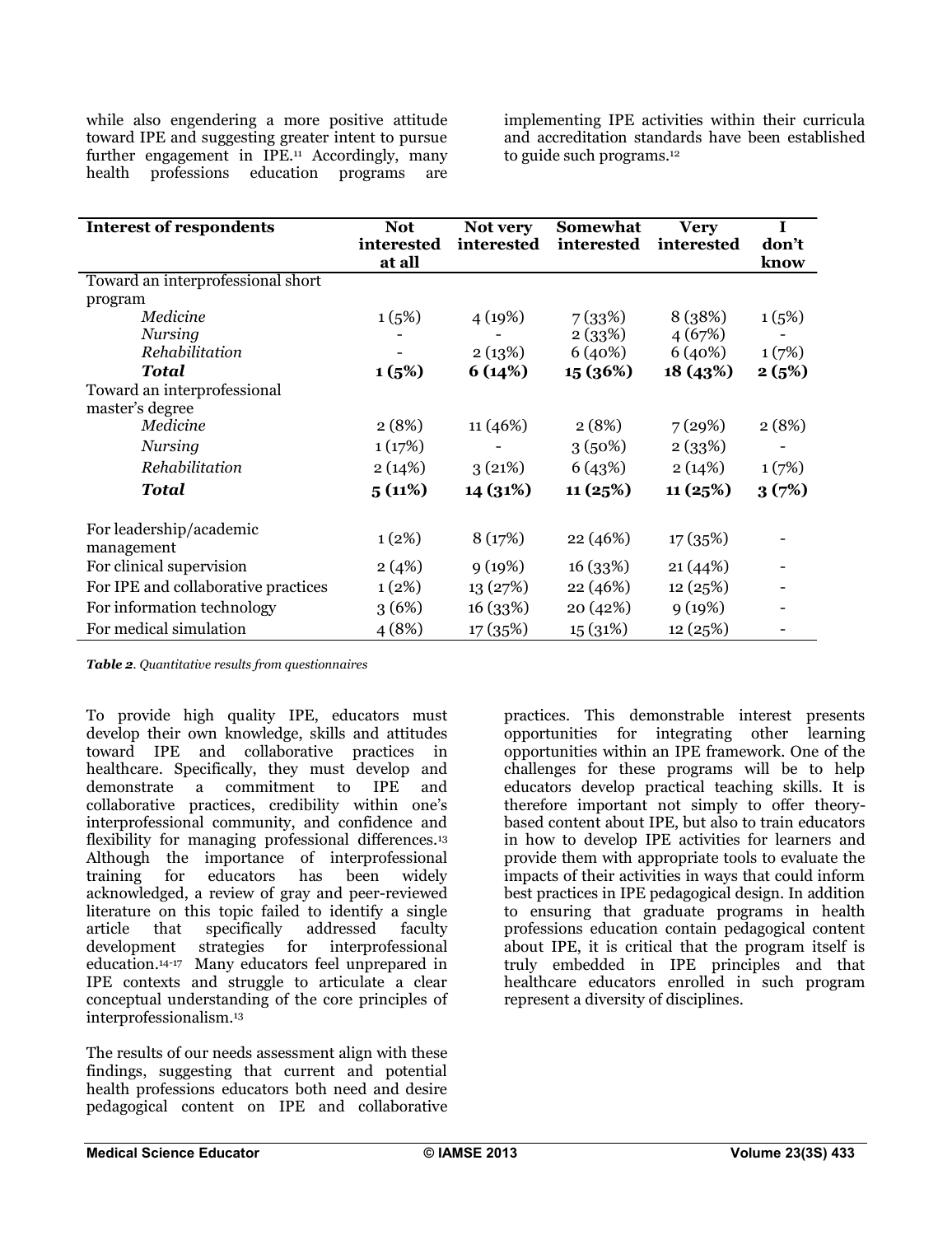while also engendering a more positive attitude toward IPE and suggesting greater intent to pursue further engagement in  $IPE<sup>11</sup>$  Accordingly, many health professions education programs are

implementing IPE activities within their curricula and accreditation standards have been established to guide such programs.<sup>12</sup>

| <b>Interest of respondents</b>      | <b>Not</b> | Not very   | Somewhat   | <b>Very</b> | T     |
|-------------------------------------|------------|------------|------------|-------------|-------|
|                                     | interested | interested | interested | interested  | don't |
|                                     | at all     |            |            |             | know  |
| Toward an interprofessional short   |            |            |            |             |       |
|                                     |            |            |            |             |       |
| program                             |            |            |            |             |       |
| Medicine                            | 1(5%)      | 4(19%)     | 7(33%)     | 8 (38%)     | 1(5%) |
| <b>Nursing</b>                      |            |            | 2(33%)     | 4(67%)      |       |
| Rehabilitation                      |            | 2(13%)     | 6 (40%)    | 6(40%)      | 1(7%) |
| Total                               | 1(5%)      | 6(14%)     | 15(36%)    | 18(43%)     | 2(5%) |
| Toward an interprofessional         |            |            |            |             |       |
| master's degree                     |            |            |            |             |       |
| Medicine                            | 2(8%)      | 11(46%)    | 2(8%)      | 7(29%)      | 2(8%) |
| <b>Nursing</b>                      | 1(17%)     |            | 3(50%)     | 2(33%)      |       |
| Rehabilitation                      | 2(14%)     | 3(21%)     | 6(43%)     | 2(14%)      | 1(7%) |
| Total                               | 5(11%)     | 14 (31%)   | 11(25%)    | 11(25%)     | 3(7%) |
| For leadership/academic             | 1(2%)      | 8(17%)     | 22 (46%)   | 17(35%)     |       |
| management                          |            |            |            |             |       |
| For clinical supervision            | 2(4%)      | 9(19%)     | 16(33%)    | 21(44%)     |       |
| For IPE and collaborative practices | 1(2%)      | 13 (27%)   | 22 (46%)   | 12(25%)     |       |
| For information technology          | 3(6%)      | 16(33%)    | 20 (42%)   | 9(19%)      |       |
| For medical simulation              | 4(8%)      | 17(35%)    | 15(31%)    | 12(25%)     |       |

*Table 2. Quantitative results from questionnaires* 

To provide high quality IPE, educators must develop their own knowledge, skills and attitudes toward IPE and collaborative practices in healthcare. Specifically, they must develop and demonstrate a commitment to IPE and collaborative practices, credibility within one's interprofessional community, and confidence and flexibility for managing professional differences.<sup>13</sup> Although the importance of interprofessional training for educators has been widely acknowledged, a review of gray and peer-reviewed literature on this topic failed to identify a single article that specifically addressed faculty development strategies for interprofessional education.14-17 Many educators feel unprepared in IPE contexts and struggle to articulate a clear conceptual understanding of the core principles of interprofessionalism.13

The results of our needs assessment align with these findings, suggesting that current and potential health professions educators both need and desire pedagogical content on IPE and collaborative

practices. This demonstrable interest presents opportunities for integrating other learning opportunities within an IPE framework. One of the challenges for these programs will be to help educators develop practical teaching skills. It is therefore important not simply to offer theorybased content about IPE, but also to train educators in how to develop IPE activities for learners and provide them with appropriate tools to evaluate the impacts of their activities in ways that could inform best practices in IPE pedagogical design. In addition to ensuring that graduate programs in health professions education contain pedagogical content about IPE, it is critical that the program itself is truly embedded in IPE principles and that healthcare educators enrolled in such program represent a diversity of disciplines.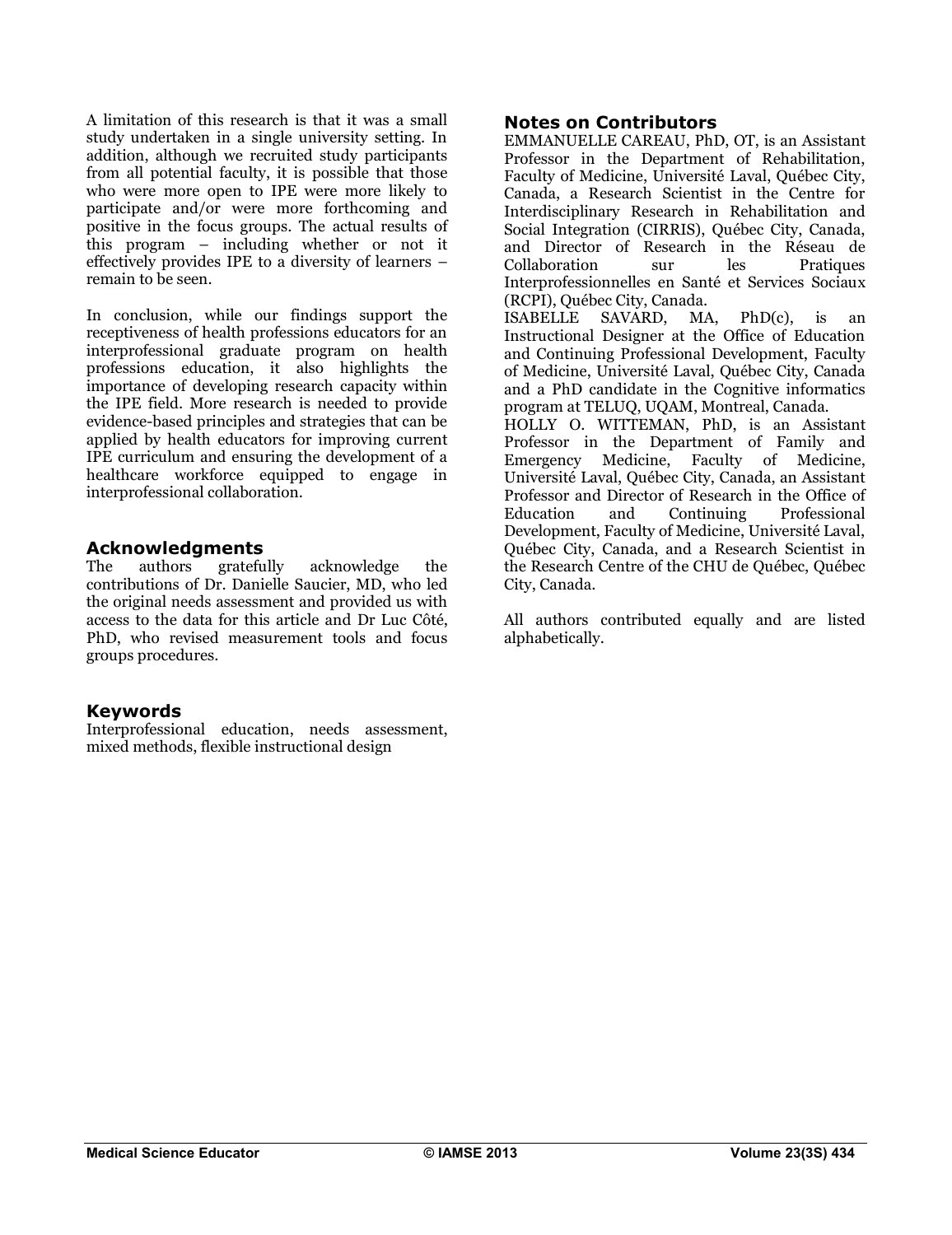A limitation of this research is that it was a small study undertaken in a single university setting. In addition, although we recruited study participants from all potential faculty, it is possible that those who were more open to IPE were more likely to participate and/or were more forthcoming and positive in the focus groups. The actual results of this program – including whether or not it effectively provides IPE to a diversity of learners – remain to be seen.

In conclusion, while our findings support the receptiveness of health professions educators for an interprofessional graduate program on health professions education, it also highlights the importance of developing research capacity within the IPE field. More research is needed to provide evidence-based principles and strategies that can be applied by health educators for improving current IPE curriculum and ensuring the development of a healthcare workforce equipped to engage in interprofessional collaboration.

#### **Acknowledgments**

The authors gratefully acknowledge the contributions of Dr. Danielle Saucier, MD, who led the original needs assessment and provided us with access to the data for this article and Dr Luc Côté, PhD, who revised measurement tools and focus groups procedures.

### **Keywords**

Interprofessional education, needs assessment, mixed methods, flexible instructional design

#### **Notes on Contributors**

EMMANUELLE CAREAU, PhD, OT, is an Assistant Professor in the Department of Rehabilitation, Faculty of Medicine, Université Laval, Québec City, Canada, a Research Scientist in the Centre for Interdisciplinary Research in Rehabilitation and Social Integration (CIRRIS), Québec City, Canada, and Director of Research in the Réseau de Collaboration sur les Pratiques Interprofessionnelles en Santé et Services Sociaux (RCPI), Québec City, Canada.

ISABELLE SAVARD, MA, PhD(c), is an Instructional Designer at the Office of Education and Continuing Professional Development, Faculty of Medicine, Université Laval, Québec City, Canada and a PhD candidate in the Cognitive informatics program at TELUQ, UQAM, Montreal, Canada.

HOLLY O. WITTEMAN, PhD, is an Assistant Professor in the Department of Family and Emergency Medicine, Faculty of Medicine, Université Laval, Québec City, Canada, an Assistant Professor and Director of Research in the Office of Education and Continuing Professional Development, Faculty of Medicine, Université Laval, Québec City, Canada, and a Research Scientist in the Research Centre of the CHU de Québec, Québec City, Canada.

All authors contributed equally and are listed alphabetically.